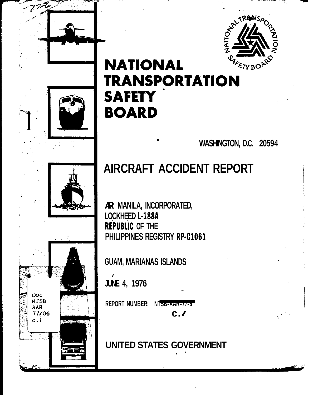

# NATIONAL SE AND

. **WASHINGTON, D.C. 20594** 

!

# **AIRCRAFT ACCIDENT REPORT**

**AR MANILA, INCORPORATED,** LOCKHEED **L-188A REPUBLIC OF THE PHILIPPINES REGISTRY RP-C1061 REMANILA, INCORPORATED,<br>LOCKHEED L-188A<br>REPUBLIC OF THE<br>PHILIPPINES REGISTRY RP-C1061<br>GUAM, MARIANAS ISLANDS<br>JUNE 4, 1976<br>REPORT NUMBER: NTSB-AAR-77-6<br>C./** 

**GUAM, MARIANAS ISLANDS** 

**JUNE 4, 1976** 

Doc. **NTSB** AAR 77/06  $c<sub>1</sub>$ 

 $c$ . $\prime$ 

**UNITED STATES GOVERNMENT** .\*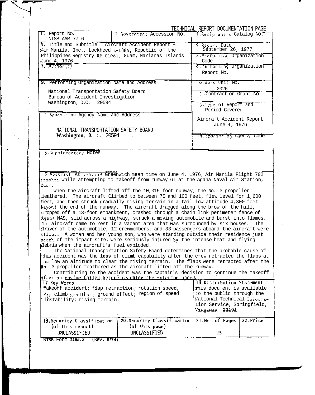|                                                                                                        |                                                                                                                                                                                                                                                                                                                                                                                                                                                                                                                                                                                                                                                                                                                                                                                                                                                                                                                                                                                                                                                                                                                                                                                                                                                                                                                                                         | TECHNICAL REPORT DOCUMENTATION PAGE                                                                                                                                 |
|--------------------------------------------------------------------------------------------------------|---------------------------------------------------------------------------------------------------------------------------------------------------------------------------------------------------------------------------------------------------------------------------------------------------------------------------------------------------------------------------------------------------------------------------------------------------------------------------------------------------------------------------------------------------------------------------------------------------------------------------------------------------------------------------------------------------------------------------------------------------------------------------------------------------------------------------------------------------------------------------------------------------------------------------------------------------------------------------------------------------------------------------------------------------------------------------------------------------------------------------------------------------------------------------------------------------------------------------------------------------------------------------------------------------------------------------------------------------------|---------------------------------------------------------------------------------------------------------------------------------------------------------------------|
| T. Report No.<br>NTSB-AAR-77-6                                                                         | 2. Government Accession No.                                                                                                                                                                                                                                                                                                                                                                                                                                                                                                                                                                                                                                                                                                                                                                                                                                                                                                                                                                                                                                                                                                                                                                                                                                                                                                                             | 3. Recipient's Catalog No.                                                                                                                                          |
| 4 Title and Subtitle Aircraft Accident Report -<br>14ir Manila, Inc., Lockheed L-188A, Republic of the |                                                                                                                                                                                                                                                                                                                                                                                                                                                                                                                                                                                                                                                                                                                                                                                                                                                                                                                                                                                                                                                                                                                                                                                                                                                                                                                                                         | 5. Report Date<br>September 26, 1977                                                                                                                                |
| June 4, 1976                                                                                           | Philippines Registry RP-C1061, Guam, Marianas Islands                                                                                                                                                                                                                                                                                                                                                                                                                                                                                                                                                                                                                                                                                                                                                                                                                                                                                                                                                                                                                                                                                                                                                                                                                                                                                                   | 6. Performing Organization<br>Code                                                                                                                                  |
| 7. Author(s)                                                                                           |                                                                                                                                                                                                                                                                                                                                                                                                                                                                                                                                                                                                                                                                                                                                                                                                                                                                                                                                                                                                                                                                                                                                                                                                                                                                                                                                                         | 3. Performing Organization<br>Report No.                                                                                                                            |
| 9. Performing Organization Name and Address                                                            |                                                                                                                                                                                                                                                                                                                                                                                                                                                                                                                                                                                                                                                                                                                                                                                                                                                                                                                                                                                                                                                                                                                                                                                                                                                                                                                                                         | TO VOIX UNIT NO.<br>2026                                                                                                                                            |
| National Transportation Safety Board<br>Bureau of Accident Investigation                               |                                                                                                                                                                                                                                                                                                                                                                                                                                                                                                                                                                                                                                                                                                                                                                                                                                                                                                                                                                                                                                                                                                                                                                                                                                                                                                                                                         | 11. Contract or Grant No.                                                                                                                                           |
| Washington, D.C.<br>20594                                                                              |                                                                                                                                                                                                                                                                                                                                                                                                                                                                                                                                                                                                                                                                                                                                                                                                                                                                                                                                                                                                                                                                                                                                                                                                                                                                                                                                                         | 13. Type of Report and<br>Period Covered                                                                                                                            |
| 12. Sponsoring Agency Name and Address<br>NATIONAL TRANSPORTATION SAFETY BOARD                         |                                                                                                                                                                                                                                                                                                                                                                                                                                                                                                                                                                                                                                                                                                                                                                                                                                                                                                                                                                                                                                                                                                                                                                                                                                                                                                                                                         | Aircraft Accident Report<br>June 4, 1976                                                                                                                            |
| Washington, D. C. $20594$                                                                              |                                                                                                                                                                                                                                                                                                                                                                                                                                                                                                                                                                                                                                                                                                                                                                                                                                                                                                                                                                                                                                                                                                                                                                                                                                                                                                                                                         | T4,SponsorTng Agency Code                                                                                                                                           |
|                                                                                                        |                                                                                                                                                                                                                                                                                                                                                                                                                                                                                                                                                                                                                                                                                                                                                                                                                                                                                                                                                                                                                                                                                                                                                                                                                                                                                                                                                         |                                                                                                                                                                     |
|                                                                                                        | 16. Abstract At 1447:48 Greenwich mean time on June 4, 1976, Air Manila Flight 702<br>crashed while attempting to takeoff from runway 6L at the Agana Naval Air Station,                                                                                                                                                                                                                                                                                                                                                                                                                                                                                                                                                                                                                                                                                                                                                                                                                                                                                                                                                                                                                                                                                                                                                                                |                                                                                                                                                                     |
| Guam.<br>Clebris when the aircraft's fuel exploded.                                                    | When the aircraft lifted off the 10,015-foot runway, the No. 3 propeller<br>fieathered. The aircraft Climbed to between 75 and 100 feet, flew level for 1,600<br>fieet, and then struck gradually rising terrain in a tail-low attitude 4,300 feet<br>beyond the end of the runway. The aircraft dragged along the brow of the hill,<br>dropped off a 13-foot embankment, crashed through a chain link perimeter fence of<br>Agana NAS, slid across a highway, struck a moving automobile and burst into flames.<br>The aircraft came to rest in a vacant area that was surrounded by six houses.<br>driver of the automobile, 12 crewmembers, and 33 passengers aboard the aircraft were<br>killed. A woman and her young son, who were standing outside their residence just<br>south of the impact site, were seriously injured by the intense heat and flying<br>The National Transportation Safety Board determines that the probable cause of<br>this accident was the loss of climb capability after the crew retracted the flaps at<br>too low an altitude to clear the rising terrain. The flaps were retracted after the<br>No. 3 propeller feathered as the aircraft lifted off the runway.<br>Contributing to the accident was the captain's decision to continue the takeoff<br>after an engine failed before reaching the rotation speed. | The                                                                                                                                                                 |
| 17. Key Words<br>instability; rising terrain.                                                          | Takeoff accident: flap retraction; rotation speed,<br>V <sub>2</sub> ; climb gradient; ground effect; region of speed                                                                                                                                                                                                                                                                                                                                                                                                                                                                                                                                                                                                                                                                                                                                                                                                                                                                                                                                                                                                                                                                                                                                                                                                                                   | 18.Distribution Statement<br>This document is available<br>to the public through the<br>National Technical Informa-<br>tion Service, Springfield,<br>Virginia 22191 |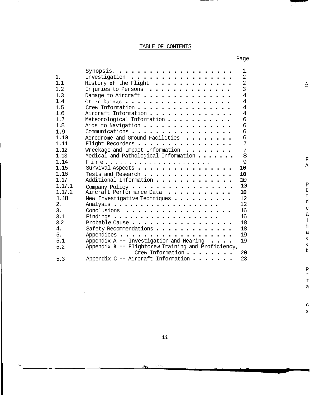### TABLE OF CONTENTS

 $\frac{1}{2}$ 

Page

| 1.<br>1.1<br>1.2<br>1.3<br>1.4<br>1.5<br>1.6<br>1.7<br>1.8<br>1.9<br>1.10<br>1.11<br>1.12<br>1.13 | Synopsis.<br>Investigation<br>History of the Flight<br>.<br>Injuries to Persons<br>Damage to Aircraft<br>Other Damage<br>Crew Information<br>Aircraft Information<br>Meteorological Information<br>Aids to Navigation<br>Communications<br>Aerodrome and Ground Facilities<br>Flight Recorders<br>Wreckage and Impact Information | 1<br>$\overline{2}$<br>$\overline{2}$<br>$\overline{3}$<br>$\overline{4}$<br>4<br>$\overline{4}$<br>$\overline{4}$<br>6<br>6<br>6<br>6<br>$\overline{7}$<br>7<br>8 |
|---------------------------------------------------------------------------------------------------|-----------------------------------------------------------------------------------------------------------------------------------------------------------------------------------------------------------------------------------------------------------------------------------------------------------------------------------|--------------------------------------------------------------------------------------------------------------------------------------------------------------------|
| 1.14                                                                                              | Medical and Pathological Information                                                                                                                                                                                                                                                                                              | 9                                                                                                                                                                  |
| 1.15                                                                                              | Survival Aspects                                                                                                                                                                                                                                                                                                                  | 10                                                                                                                                                                 |
| 1.16                                                                                              | Tests and Research                                                                                                                                                                                                                                                                                                                | 10                                                                                                                                                                 |
| 1.17                                                                                              | Additional Information                                                                                                                                                                                                                                                                                                            | 10                                                                                                                                                                 |
| 1.17.1                                                                                            | Company Policy                                                                                                                                                                                                                                                                                                                    | 10                                                                                                                                                                 |
| 1.17.2                                                                                            | Aircraft Performance Data                                                                                                                                                                                                                                                                                                         | 10                                                                                                                                                                 |
| 1.18                                                                                              | New Investigative Techniques                                                                                                                                                                                                                                                                                                      | 12                                                                                                                                                                 |
| 2.<br>3.                                                                                          |                                                                                                                                                                                                                                                                                                                                   | 12                                                                                                                                                                 |
| 3.1                                                                                               | Conclusions                                                                                                                                                                                                                                                                                                                       | 16<br>16                                                                                                                                                           |
| 3.2                                                                                               | Probable Cause                                                                                                                                                                                                                                                                                                                    | 18                                                                                                                                                                 |
| 4.                                                                                                | Safety Recommendations                                                                                                                                                                                                                                                                                                            | 18                                                                                                                                                                 |
| 5.                                                                                                |                                                                                                                                                                                                                                                                                                                                   | 19                                                                                                                                                                 |
| 5.1                                                                                               | Appendix $A$ -- Investigation and Hearing $\cdots$ .                                                                                                                                                                                                                                                                              | 19                                                                                                                                                                 |
| 5.2                                                                                               | Appendix B -- Flightcrew Training and Proficiency,                                                                                                                                                                                                                                                                                |                                                                                                                                                                    |
|                                                                                                   | Crew Information                                                                                                                                                                                                                                                                                                                  | 20                                                                                                                                                                 |
| 5.3                                                                                               | Appendix C - Aircraft Information<br>$\mathbf{r}$                                                                                                                                                                                                                                                                                 | 23                                                                                                                                                                 |

 $\frac{\mathbf{A}}{=}$ 

 $\mathbb{Z}$ 

a

a

 $\rm C$ *S* 

ii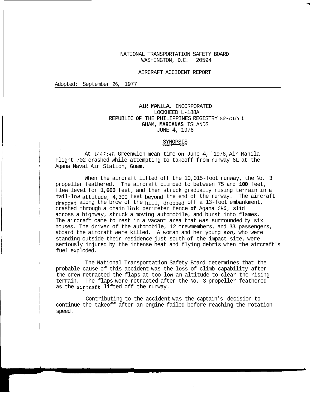### NATIONAL TRANSPORTATION SAFETY BOARD WASHINGTON, D.C. 20594

### AIRCRAFT ACCIDENT REPORT

Adopted: September 26, 1977

### AIR MANILA, INCORPORATED LOCKHEED L-188A REPUBLIC **OF** THE PHILIPPINES REGISTRY RP-C1061 GUAM, **MARIANAS** ISLANDS JUNE 4, 1976

### SYNOPSIS

At 1447:48 Greenwich mean time **on** June 4, '1976, Air Manila Flight 702 crashed while attempting to takeoff from runway 6L at the Agana Naval Air Station, Guam.

When the aircraft lifted off the 10,015-foot runway, the No. 3 propeller feathered. The aircraft climbed to between 75 and **100** feet, flew level for **1,600** feet, and then struck gradually rising terrain in a dragged along the brow of the hill, dropped off a 13-foot embankment, tail-low attitude, 4,300 feet beyond the end of the runway. The aircraft crashed through a chain **link** perimeter fence **of** Agana **NAS,** slid across a highway, struck a moving automobile, and burst into flames. The aircraft came to rest in a vacant area that was surrounded by six houses. The driver of the automobile, 12 crewmembers, and **33** passengers, aboard the aircraft were killed. A woman and her young *son,* who were standing outside their residence just south **of** the impact site, were seriously injured by the intense heat and flying debris when the aircraft's fuel exploded.

probable cause of this accident was the **loss** of climb capability after The National Transportation Safety Board determines that the terrain. The flaps were retracted after the No. 3 propeller feathered the crew retracted the flaps at too low an altitude to clear the rising as the aircraft lifted off the runway.

Contributing to the accident was the captain's decision to continue the takeoff after an engine failed before reaching the rotation speed.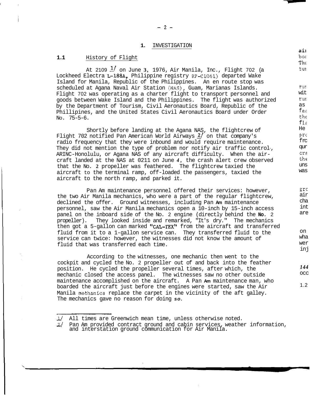### **1.** INVESTIGATION

### **1.1** History of Flight Lockheed Electra L-l88A, Philippine registry RP-C1061) departed Wake At 2109 *1/* on June **3,** 1976, Air Manila, Inc., Flight 702 (a Island for Manila, Republic of the Philippines. An en route stop was scheduled at Agana Naval Air Station (NAS), Guam, Marianas Islands. Flight 702 was operating as a charter flight to transport personnel and goods between Wake Island and the Philippines. The flight was authorized by the Department of Tourism, Civil Aeronautics Board, Republic of the Phillipines, and the United States Civil Aeronautics Board under Order NO. 75-5-6. Shortly before landing at the Agana NAS, the flightcrew of Flight 702 notified Pan American World Airways *21* on that company's They did not mention the type of problem nor notify air traffic control-, radio frequency that they were inbound and would require maintenance. ARINC-Honolulu, or Agana NAS of any aircraft difficulty. When the aircraft landed at the NAS at 0211 on June *4,* the crash alert crew observed aircraft to the terminal ramp, off-loaded the passengers, taxied the that the No. **2** propeller was feathered. The flightcrew taxied the aircraft to the north ramp, and parked it. Pan Am maintenance personnel offered their services: however,  $b \circ t$ Thc tui wit rur rur as  $f$ e $\varepsilon$ the  $\epsilon$  $f1$  $\varepsilon$ He Prc frc qur cra the was uns grc air

the two Air Manila mechanics, who were a part of the regular flightcrew, declined the offer. Ground witnesses, including Pan **Am** maintenance personnel, saw the Air Manila mechanics open a 10-inch by 15-inch access panel on the inboard side of the No. 2 engine (directly behind the **No.** 2 propeller). They looked inside and remarked, "It's dry." The mechanics then got a 5-gallon can marked "CAL-TEX" from the aircraft and transferred fluid from it to a 1-gallon service can. They transferred fluid to the service can twice: however, the witnesses did not know the amount of fluid that was transferred each time. cha int are wha on wer inj

cockpit and cycled the No. 2 propeller out of and back into the feather mechanic closed the access panel. The witnesses saw no other outside position. He cycled the propeller several times, after which, the maintenance accomplished on the aircraft. A Pan **Am** maintenance man, who Manila methanics replace the carpet in the vicinity of the aft galley. boarded the aircraft just before the engines were started, saw the Air The mechanics gave no reason for doing *so.*  According to the witnesses, one mechanic then went to the

- **11** All times are Greenwich mean time, unless otherwise noted.

1/ All times are Greenwich mean time, unless otherwise noted.<br>2/ Pan Am provided contract ground and cabin services, weather information,<br>and interstation ground communication for Air Manila.

 $-2-$ 

ail

*144*  occ

1.2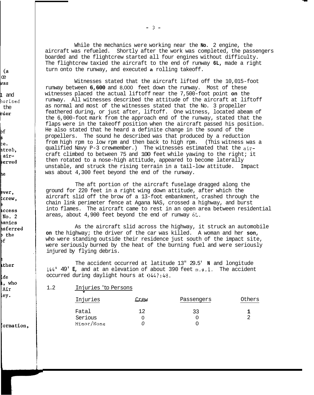(a ce pas and

borized rder the

þf Б ce. ntrol, airserved

he

ever. tcrew, access  $No. 2$ hanics hsferred þ the bf

ther

lde **i**, who Air ley.

formation,

-3-

aircraft was refueled. Shortly after the work was completed, the passengers boarded and the flightcrew started all four engines without difficulty. The flightcrew taxied the aircraft to the end of runway **6L,** made a right turn onto the runway, and executed **a** rolling takeoff. While the mechanics were working near the **No.** 2 engine, the

Witnesses stated that the aircraft lifted off the 10,015-foot runway between **6,600** and 8,000 feet down the runway. Most of these witnesses placed the actual liftoff near the 7,500-foot point **on** the runway. All witnesses described the attitude of the aircraft at liftoff as normal and most of the witnesses stated that the No. 3 propeller feathered during, or just after, liftoff. One witness, located abeam of the 6,000-foot mark from the approach end of the runway, stated that the flaps were in the takeoff position when the aircraft passed his position. He also stated that he heard a definite change in the sound of the propellers. The sound he described was that produced by a reduction qualified Navy P-3 crewmember.) The witnesses estimated that the airfrom high rpm to low rpm and then back to high rpm. (This witness was a craft climbed to between 75 and 100 feet while yawing to the right; it unstable, and struck the rising terrain in a tail-low attitude. Impact then rotated to a nose-high attitude, appeared to become laterally was about 4,300 feet beyond the end of the runway.

The aft portion of the aircraft fuselage dragged along the ground for 220 feet in a right wing down attitude, after which the aircraft slid off the brow of a 13-foot embankment, crashed through the chain link perimeter fence at Agana NAS, crossed a highway, and burst into flames. The aircraft came to rest in an open area between residential areas, about 4,900 feet beyond the end of runway **6L.** 

As the aircraft slid across the highway, it struck an automobile **on** the highway; the driver of the car was killed. A woman and her **son,**  who were standing outside their residence just south of the impact site, were seriously burned by the heat of the burning fuel and were seriously injured by flying debris.

144° 49' **E,** and at an elevation of about 390 feet m.s.1. The accident occurred during daylight hours at 0447:48.<br>
1.2 Injuries 'to Persons<br>
Injuries Crew Passengers Others occurred during daylight hours at 0447:48. The accident occurred at latitude 13" 29.5' **N** and longitude

1.2 **Injuries 'to Persons** 

| Injuries   | Crew | Passengers | Others |
|------------|------|------------|--------|
| Fatal      | 1 ລ  | 33         |        |
| Serious    |      |            | ⌒      |
| Minor/None |      |            |        |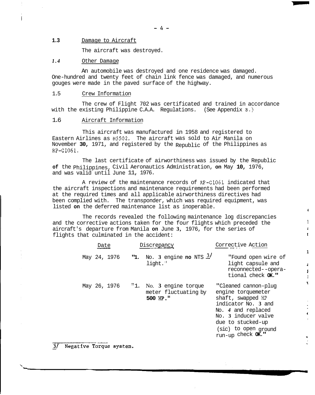### **1.3** Damage to Aircraft

The aircraft was destroyed.

### *1.4* Other Damage

An automobile was destroyed and one residence was damaged. One-hundred and twenty feet of chain link fence was damaged, and numerous gouges were made in the paved surface of the highway.

### 1.5 Crew Information

with the existing Philippine C.A.A. Regulations. (See Appendix B.) The crew of Flight 702 was certificated and trained in accordance

### 1.6 Aircraft Information

Eastern Airlines as N5502. The aircraft was sold to Air Manila on This aircraft was manufactured in 1958 and registered to November **30,** 1971, and registered by the Republic of the Philippines as RP-C1061.

The last certificate of airworthiness was issued by the Republic and was valid until June 11, 1976. **of** the Philippines, Civil Aeronautics Administration, **on** May **10,** 1976,

A review of the maintenance records of RP-C1061 indicated that at the required times and all applicable airworthiness directives had the aircraft inspections and maintenance requirements had been performed been complied with. The transponder, which was required equipment, was listed **on** the deferred maintenance list as inoperable.

and the corrective actions taken for the four flights which preceded the aircraft's departure from Manila **on** June **3,** 1976, for the series of flights that culminated in the accident: The records revealed the following maintenance log discrepancies ecords revealed the following maintenance log discrepanci<br>
ive actions taken for the four flights which preceded the<br>
irture from Manila **on** June 3, 1976, for the series of<br>
ilminated in the accident:<br>
<u>Date</u> Discrepancy

| Date         | Discrepancy                                                 | Corrective Action                                                                                                                                                                                            |
|--------------|-------------------------------------------------------------|--------------------------------------------------------------------------------------------------------------------------------------------------------------------------------------------------------------|
| May 24, 1976 | "1. No. 3 engine no NTS $\frac{3}{}$<br>light."             | "Found open wire of<br>light capsule and<br>reconnected--opera-<br>tional check OK."                                                                                                                         |
| May 26, 1976 | "1. No. 3 engine torque<br>meter fluctuating by<br>500 HP." | "Cleaned cannon-plug<br>engine torquemeter<br>shaft, swapped HP<br>indicator No. 3 and<br>No. 4 and replaced<br>No. 3 inducer valve<br>due to stucked-up<br>(sic) to open ground<br>run-up check $\alpha$ ." |

I

1 ź.  $\mathbf{r}$ 

**1** 

á ſ t  $\mathbf{r}$ 

Ċ

Negative Torque system.  $\frac{3}{2}$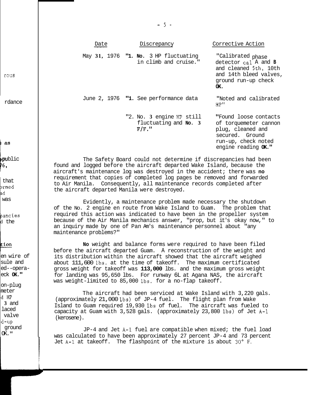|      | $-5$                                                                  |                                                                                                                                      |
|------|-----------------------------------------------------------------------|--------------------------------------------------------------------------------------------------------------------------------------|
| Date | Discrepancy                                                           | Corrective Action                                                                                                                    |
|      | May 31, 1976 <b>"1. No.</b> 3 HP fluctuating<br>in climb and cruise." | "Calibrated phase<br>detector cal A and B<br>and cleaned 5th, 10th<br>and 14th bleed valves,<br>ground run-up check<br>OK.           |
|      | June 2, 1976 "1. See performance data                                 | "Noted and calibrated<br>$HP^H$                                                                                                      |
|      | "2. No. 3 engine HP still<br>fluctuating and No. 3<br>$F/F$ .         | "Found loose contacts<br>of torquemeter cannon<br>plug, cleaned and<br>secured, Ground<br>run-up, check noted<br>engine reading OK." |

The Safety Board could not determine if discrepancies had been found and logged before the aircraft departed Wake Island, because the aircraft's maintenance log was destroyed in the accident; there was **no**  requirement that copies of completed log pages be removed and forwarded to Air Manila. Consequently, all maintenance records completed after the aircraft departed Manila were destroyed.

of the No. 2 engine en route from Wake Island to Guam. The problem that required this action was indicated to have been in the propeller system because of the Air Manila mechanics answer, "prop, but it's okay now," to an inquiry made by one of Pan Am's maintenance personnel about "any maintenance problems?" Evidently, a maintenance problem made necessary the shutdown

before the aircraft departed Guam. A reconstruction of the weight and **No** weight and balance forms were required to have been filed its distribution within the aircraft showed that the aircraft weighed about 111,600 lbs. at the time of takeoff. The maximum certificated gross weight for takeoff was **113,000** lbs. and the maximum gross weight for landing was 95,650 lbs. For runway 6L at Agana NAS, the aircraft was weight-limited to 85,000 lbs. for a no-flap takeoff.

The aircraft had been serviced at Wake Island with 3,220 gals. Island to Guam required 19,930 lbs of fuel. The aircraft was fueled to (approximately 21,000 lbs) of JP-4 fuel. The flight plan from Wake capacity at Guam with 3,528 gals. (approximately 23,800 lbs) of Jet A-1 (kerosene).

JP-4 and Jet A-1 fuel are compatible when mixed; the fuel load was calculated to have been approximately 27 percent JP-4 and 73 percent Jet A-1 at takeoff. The flashpoint of the mixture is about **30"** F.

rous

rdance

**<sup>k</sup>**as

16, public

that brmed 3d was

pancies d the

### tion

sule and en wire of ed--operaeck **OK."** 

on-plug meter dHP laced **3** and valve ground d-up  $OK.$ "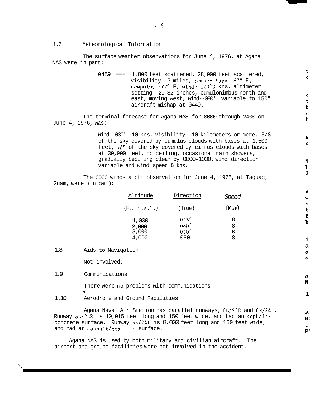1.7 Meteorological Information

NAS were in part: The surface weather observations for June 4, 1976, at Agana

> 0459 --- 1,800 feet scattered, 28,000 feet scattered, visibility--7 miles, temperature--87' F, dewpoint--7Z0 F, wind--120°8 kns, altimeter east, moving west, wind--080' variable to 150" setting--29.82 inches, cumulonimbus north and aircraft mishap at 0449.

**1 c** 

 $\mathbf{C}$  $\ddot{\phantom{1}}$ Ł  $\mathbf{r}$  $\mathbf{t}$ 

**U C** 

**N b 2** 

 $\mathbf{s}$  $\mathbf{u}$  $\mathbf{s}$  $\mathbf t$ f h

*0*  **N** 

1

 $W_i$ a: tl P'

The terminal forecast for Agana NAS for 0000 through 2400 on June 4, 1976, was:

> Wind--030' 10 kns, visibility--10 kilometers or more, 3/8 of the sky covered by cumulus clouds with bases at 1,500 feet,  $6/8$  of the sky covered by cirrus clouds with bases at 30,000 feet, no ceiling, occasional rain showers, gradually becoming clear by 0800-1000, wind direction variable and wind speed **5** kns.

The 0000 winds aloft observation for June 4, 1976, at Taguac, Guam, were (in part):

| Altitude                         | Direction                                        | Speed            |
|----------------------------------|--------------------------------------------------|------------------|
| $($ Ft. $m, s, 1, )$             | (True)                                           | (Kns <b>)</b>    |
| 1,000<br>2,000<br>3,000<br>4,000 | $055^\circ$<br>$060^\circ$<br>$050^\circ$<br>050 | 8<br>8<br>8<br>8 |

1.8 Aids **to** Navigation

Not involved.

1.9 Communications

There were no problems with communications. \*

1.10 Aerodrome and Ground Facilities

Agana Naval Air Station has parallel runways, 6L/24R and 6R/24L. Runway 6L/24R is 10,015 feet long and 150 feet wide, and had an asphalt/ concrete surface. Runway  $6R/24L$  is 8,000 feet long and 150 feet wide, and had an asphalt/concrete surface.

Agana NAS is used by both military and civilian aircraft. The airport and ground facilities were not involved in the accident.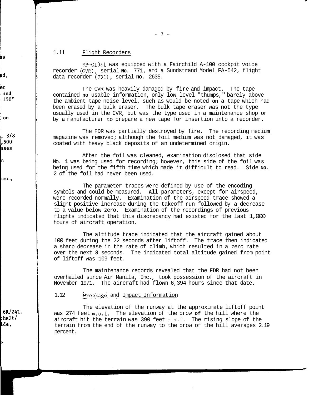$-7-$ 

### 1.11 Flight Recorders

RP-121061 was equipped with a Fairchild A-100 cockpit voice recorder (CVR), serial **No.** 771, and a Sundstrand Model FA-542, flight data recorder (FDR), serial **no.** 2635.

contained **no** usable information, only low-level "thumps," barely above been erased by a bulk eraser. The bulk tape eraser was not the type the ambient tape noise level, such as would be noted **on** a tape which had usually used in the CVR, but was the type used in a maintenance shop or by a manufacturer to prepare a new tape for insertion into a recorder. The CVR was heavily damaged by fire and impact. The tape

magazine was removed; although the foil medium was not damaged, it was coated with heavy black deposits of an undetermined origin. The FDR was partially destroyed by fire. The recording medium

After the foil was cleaned, examination disclosed that side No. **1** was being used for recording; however, this side of the foil was being used for the fifth time which made it difficult to read. Side **No.**  2 of the foil had never been used.

The parameter traces were defined by use of the encoding were recorded normally. Examination of the airspeed trace showed a symbols and could be measured. **All** parameters, except for airspeed, slight positive increase during the takeoff run followed by a decrease flights indicated that this discrepancy had existed for the last 1,000 to a value below zero. Examination of the recordings of previous hours of aircraft operation.

100 feet during the 22 seconds after liftoff. The trace then indicated a sharp decrease in the rate of climb, which resulted in a zero rate over the next **8** seconds. The indicated total altitude gained from point of liftoff was 109 feet. The altitude trace indicated that the aircraft gained about

overhauled since Air Manila, Inc., took possession of the aircraft in November 1971. The aircraft had flown 6,394 hours since that date. The maintenance records revealed that the FDR had not been

### 1.12 Wreckage and Impact Information

The elevation of the runway at the approximate liftoff point was 274 feet m.s.1. The elevation of the brow **of** the hill where the aircraft hit the terrain was 390 feet m.s.1. The rising slope of the terrain from the end of the runway to the brow of the hill averages 2.19 percent.

ha

ed.

er and  $150°$ 

on

 $3/8$ 500 ases

'n

uac,

 $6R/24L$ . bhalt/ Ľde,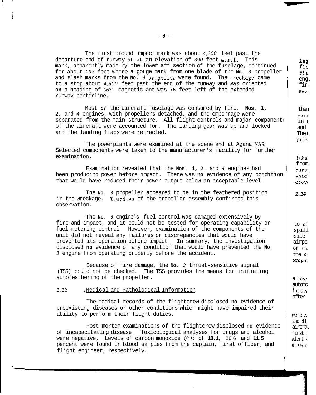| The first ground impact mark was about 4,300 feet past the<br>departure end of runway 6L at an elevation of 390 feet $m, s, 1$ .<br>This<br>mark, apparently made by the lower aft section of the fuselage, continued<br>for about 197 feet where a gouge mark from one blade of the No. 3 propeller<br>and slash marks from the No. 4 propeller were found. The wreckage came<br>to a stop about 4,900 feet past the end of the runway and was oriented<br>on a heading of 063' magnetic and was 75 feet left of the extended<br>runway centerline. | leg<br>fli<br>fli<br>eng.<br>fir!<br>Sey.                     |
|------------------------------------------------------------------------------------------------------------------------------------------------------------------------------------------------------------------------------------------------------------------------------------------------------------------------------------------------------------------------------------------------------------------------------------------------------------------------------------------------------------------------------------------------------|---------------------------------------------------------------|
| Most of the aircraft fuselage was consumed by fire. Nos. $1,$<br>2, and 4 engines, with propellers detached, and the empennage were<br>separated from the main structure. All flight controls and major components<br>of the aircraft were accounted for. The landing gear was up and locked<br>and the landing flaps were retracted.                                                                                                                                                                                                                | then<br>exti<br>in t<br>and<br>Thei<br>perc                   |
| The powerplants were examined at the scene and at Agana NAS.<br>Selected components were taken to the manufacturer's facility for further<br>examination.                                                                                                                                                                                                                                                                                                                                                                                            | inha.<br>from                                                 |
| Examination revealed that the Nos. 1, 2, and 4 engines had<br>been producing power before impact. There was no evidence of any condition<br>that would have reduced their power output below an acceptable level.                                                                                                                                                                                                                                                                                                                                    | burne<br>which<br>aboye                                       |
| The No. 3 propeller appeared to be in the feathered position<br>in the wreckage. Teardown of the propeller assembly confirmed this<br>observation.                                                                                                                                                                                                                                                                                                                                                                                                   | 1.14                                                          |
| The No. 3 engine's fuel control was damaged extensively by<br>fire and impact, and it could not be tested for operating capability or<br>fuel-metering control. However, examination of the components of the<br>unit did not reveal any failures or discrepancies that would have<br>prevented its operation before impact. In summary, the investigation<br>disclosed no evidence of any condition that would have prevented the No.<br>3 engine from operating properly before the accident.                                                      | to si<br>spill<br>side<br>airpo<br>on ro<br>the $s1$<br>propa |
| Because of fire damage, the No. 3 thrust-sensitive signal<br>(TSS) could not be checked. The TSS provides the means for initiating<br>autofeathering of the propeller.                                                                                                                                                                                                                                                                                                                                                                               | a seve                                                        |
| 1.13<br>.Medical and Pathological Information                                                                                                                                                                                                                                                                                                                                                                                                                                                                                                        | automo<br>intens                                              |
| The medical records of the flightcrew disclosed no evidence of<br>preexisting diseases or other conditions which might have impaired their<br>ability to perform their flight duties.<br>Post-mortem examinations of the flightcrew disclosed no evidence<br>of incapacitating disease. Toxicological analyses for drugs and alcohol                                                                                                                                                                                                                 | after<br>were s<br>and $d1$<br>aircra.<br>first               |
| were negative. Levels of carbon monoxide $(CO)$ of 18.1, 26.6 and 11.5<br>percent were found in blood samples from the captain, first officer, and<br>flight engineer, respectively.                                                                                                                                                                                                                                                                                                                                                                 | alert 1<br>at $045$                                           |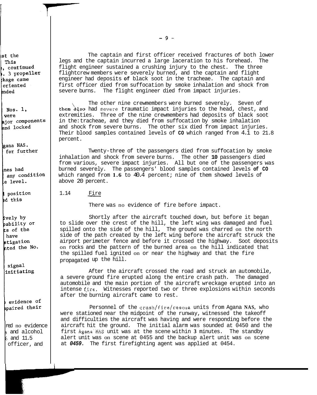ist the This  $,$  continued . 3 propeller kage came oriented ended

Nos. 1. were ajor components and locked

gana NAS. for further

lnes had any condition  $\rm{e}$  level.

position ed this

ively by pability or ts of the have stigation nted the No.

signal initiating

evidence of mpaired their

red no evidence **<sup>3</sup>**and alcohol officer, and 6 and 11.5

The captain and first officer received fractures of both lower legs and the captain incurred a large laceration to his forehead. The flight engineer sustained a crushing injury to the chest. The three flightcrew members were severely burned, and the captain and flight engineer had deposits **of** black soot in the tracheae. The captain and first officer died from suffocation by smoke inhalation and shock from severe burns. The flight engineer died from impact injuries.

them also had severe traumatic impact injuries to the head, chest, and extremities. Three of the nine crewmembers had deposits of black soot in the: tracheae, and they died from suffocation by smoke inhalation and shock from severe burns. The other six died from impact injuries. Their blood samples contained levels of **CO** which ranged from 4.1 to 21.8 percent. The other nine crewmembers were burned severely. Seven of

inhalation and shock from severe burns. The other **10** passengers died From various, severe impact injuries. All but one of the passengers was<br>burned severely. The passengers' blood samples contained levels **of CO**<br>which ranged from **1.6** to 40.4 percent; nine of them showed levels of<br>above 2 burned severely. The passengers' blood samples contained levels **of CO**  which ranged from 1.6 to 40.4 percent; nine of them showed levels of above 20 percent. Twenty-three of the passengers died from suffocation by smoke

There was no evidence of fire before impact.

Shortly after the aircraft touched down, but before it began to slide over the crest of the hill, the left wing was damaged and fuel spilled onto the side of the hill, The ground was charred on the north side of the path created by the left wing before the aircraft struck the airport perimeter fence and before it crossed the highway. Soot deposits on rocks and the pattern of the burned area on the hill indicated that propagated up the hill. the spilled fuel ignited on or near the highway and that the fire

After the aircraft crossed the road and struck an automobile, a severe ground fire erupted along the entire crash path. The damaged automobile and the main portion of the aircraft wreckage erupted into an intense fire. Witnesses reported two or three explosions within seconds after the burning aircraft came to rest.

were stationed near the midpoint of the runway, witnessed the takeoff and difficulties the aircraft was having and were responding before the aircraft hit the ground. The initial alarm was sounded at 0450 and the first Agana'NAS unit was at the scene within **3** minutes. The standby alert unit was on scene at 0455 and the backup alert unit was on scene at *0459.* The first firefighting agent was applied at 0454. Personnel of the crash/fire/rescue units from Agana **NAS,** who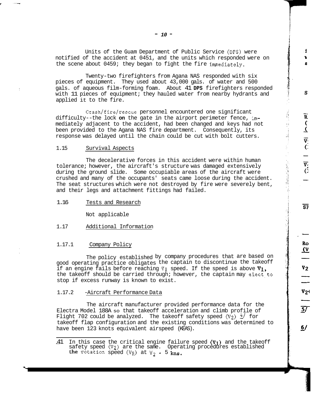notified of the accident at 0451, and the units which responded were on the scene about 0459; they began to fight the fire immediately. Units of the Guam Department of Public Service **(DPS)** were

f

S

 $\overline{\mathtt{R}}$ 

りく マジ

 $\overline{\text{SP}}$ 

Ro  $\overline{\Omega}$ 

 $\frac{v_2}{v_2}$ 

 $\overline{57}$ 

 $6/$ 

Twenty-two firefighters from Agana NAS responded with six pieces of equipment. They used about 43,000 gals. of water and 500 with 11 pieces of equipment; they hauled water from nearby hydrants and gals. of aqueous film-forming foam. About 41 **DPS** firefighters responded applied it to the fire.

Crash/fire/rescue personnel encountered one significant mediately adjacent to the accident, had been changed and keys had not difficulty--the lock **on** the gate in the airport perimeter fence, imbeen provided to the Agana NAS fire department. Consequently, its response was delayed until the chain could be cut with bolt cutters.

### 1.15 Survival Aspects

The decelerative forces in this accident were within human tolerance; however, the aircraft's structure was damaged extensively during the ground slide. Some occupiable areas of the aircraft were crushed and many of the occupants' seats came loose during the accident. The seat structures which were not destroyed by fire were severely bent, and their legs and attachment fittings had failed.

1.16 Tests and Research

Not applicable

1.17 Additional Information

### 1.17.1 Company Policy

good operating practice obligates the captain to discontinue the takeoff The policy established by company procedures that are based on if an engine fails before reaching V<sub>1</sub> speed. If the speed is above  $\texttt{V}_1$ , the takeoff should be carried through; however, the captain may elect to stop if excess runway is known to exist.

### 1.17.2 -Aircraft Performance Data

The aircraft manufacturer provided performance data for the Electra Model 188A so that takeoff acceleration and climb profile of Flight 702 could be analyzed. The takeoff safety speed  $(V_2)$   $\frac{4}{3}$  for have been 123 knots equivalent airspeed (KEAS). takeoff flap configuration and the existing conditions was determined to

<sup>-</sup> 41 In this case the critical engine failure speed (VI) and the takeoff safety speed (V2) are the same. Operating procedures established the rotation speed  $(V_R)$  at  $V_2$  - 5 kns.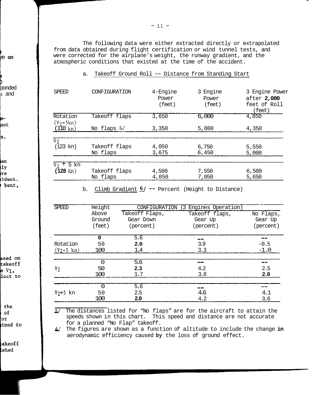re **on** 

**k 3**  ponded **s** and

mnot

 $s$ .

ian  $1y$ re ident. bent,

ased on takeoff  $eV_1$ , lect to

the of or ined to

takeoff **lshed** 

The following data were either extracted directly or extrapolated from data obtained during flight certification or wind tunnel tests, and were corrected for the airplane's weight, the runway gradient, and the atmospheric conditions that existed at the time of the accident.

### a. Takeoff Ground Roll -- Distance from Standing Start

| <b>SPEED</b>              | CONFIGURATION             | $4$ -Engine<br>Power<br>(feet) | 3 Engine<br>Power<br>(feet) | 3 Engine Power<br>after 2,000<br>feet of Roll<br>(feet) |
|---------------------------|---------------------------|--------------------------------|-----------------------------|---------------------------------------------------------|
| Rotation<br>$(V_2 - 5kn)$ | Takeoff flaps             | 3,650                          | 6,000                       | 4,850                                                   |
| $(118 \text{ kn})$        | No flaps $\frac{1}{2}$    | 3,350                          | 5,800                       | 4,350                                                   |
| $V_2$                     |                           |                                |                             |                                                         |
| $(123 \text{ km})$        | Takeoff flaps<br>No flaps | 4,050<br>3,675                 | 6,750<br>6,450              | 5,550<br>5,000                                          |
| 5 kn<br>Vo.               |                           |                                |                             |                                                         |
| $(128 \text{ Kn})$        | Takeoff flaps<br>No flaps | 4,500<br>4,050                 | 7,550<br>7,050              | 6,500<br>5,650                                          |

b. Climb Gradient  $6/$  -- Percent (Height to Distance)

| <b>SPEED</b>         | Height | CONFIGURATION  | (3 Engines Operation) |           |
|----------------------|--------|----------------|-----------------------|-----------|
|                      | Above  | Takeoff Flaps, | Takeoff flaps,        | No Flaps, |
|                      | Ground | Gear Down      | Gear Up               | Gear Up   |
|                      | (feet) | (percent)      | (percent)             | (percent) |
|                      | 0      | 5.6            |                       |           |
| Rotation             | 50     | 2.0            | 3.9                   | $-0.5$    |
| $(Y_2-5 \text{ km})$ | 100    | 1.4            | 3.3                   | $-1.0$    |
|                      | O      | 5.6            | --                    |           |
| v <sub>2</sub>       | 50     | 2.3            | 4.2                   | 2.5       |
|                      | 100    | 1.7            | 3.8                   | 2.0       |
|                      | O      | 5.6            | - 44                  |           |
| $V_2 + 5$ kn         | 50     | 2.5            | 4.6                   | 4.1       |
|                      | 100    | 2.0            | 4.2                   | 3.6       |

- *5/* The distances listed for "No flaps" are for the aircraft to attain the speeds shown in this chart. This speed and distance are not accurate for a planned "No Flap" takeoff.

- **6/** The figures are shown as a function of altitude to include the change **in**  aerodynamic efficiency caused **by** the loss of ground effect.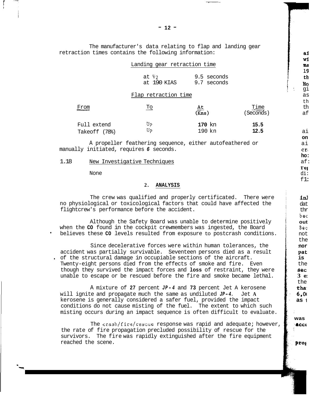The manufacturer's data relating to flap and landing gear retraction times contains the following information:

|                              | Landing gear retraction time    |                            |                  |
|------------------------------|---------------------------------|----------------------------|------------------|
|                              | at $V_2$<br>at 190 KIAS         | 9.5 seconds<br>9.7 seconds |                  |
|                              | Flap retraction time            |                            |                  |
| From                         | $\underline{\operatorname{To}}$ | $\frac{At}{(Kns)}$         | Time<br>Seconds) |
| Full extend<br>Takeoff (78%) | Up<br>Up                        | 170 kn<br>190 kn           | 15.5<br>12.5     |

A propeller feathering sequence, either autofeathered or manually initiated, requires *6* seconds.

### 1.18 New Investigative Techniques

None

### **2. ANALYSIS**

no physiological or toxicological factors that could have affected the flightcrew's performance before the accident. The crew was qualified and properly certificated. There were

when the **CO** found in the cockpit crewmembers was ingested, the Board ' believes these **CO** levels resulted from exposure to postcrash conditions. Although the Safety Board was unable to determine positively

Since decelerative forces were within human tolerances, the accident was partially survivable. Seventeen persons died as a result Twenty-eight persons died from the effects of smoke and fire. Even though they survived the impact forces and **loss** of restraint, they were unable to escape or be rescued before the fire and smoke became lethal. . of the structural damage in occupiable sections of the aircraft.

A mixture of **27** percent *J P-4* and **73** percent Jet A kerosene will ignite and propagate much the same as undiluted *JP-4.* Jet **A**  kerosene is generally considered a safer fuel, provided the impact conditions do not cause misting of the fuel. The extent to which such misting occurs during an impact sequence is often difficult to evaluate.

The crash/fire/rescue response was rapid and adequate; however, survivors. The fire was rapidly extinguished after the fire equipment the rate of fire propagation precluded possibility of rescue for the reached the scene.

**,accc** 

**was** 

**pros** 

i

<sup>1</sup>**Ha** 

ai wi ma 19 th

as th th af

ai

ai **on** 

**ho: cr,** 

af:

di:  $f1$ :

in1 dat

bec thr

**out**  Bec not the **nor** 

the **is** 

pat

**3 e: sec** 

the **tha.**  *6,0(*  **as** <sup>1</sup>

rei

qi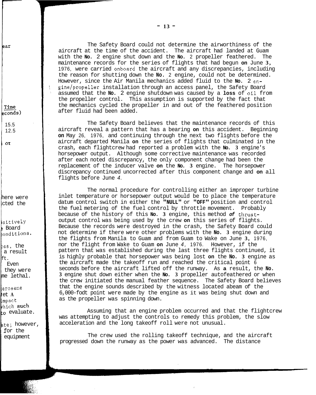The Safety Board could not determine the airworthiness of the aircraft at the time of the accident. The aircraft had landed at Guam with the **No.** 2 engine shut down and the **No.** 2 propeller feathered. The maintenance records for the series of flights that had begun **on** June **3,**  1976, were carried onboard the aircraft and any discrepancies, including However, since the Air Manila mechanics added fluid to the **No.** 2 enthe reason for shutting down the **No.** 2 engine, could not be determined. assumed that the **No.** 2 engine shutdown was caused by a **loss** of oil from gine/propeller installation through an access panel, the Safety Board the propeller control. This assumption is supported by the fact that the mechanics cycled the propeller in and out of the feathered position after fluid had been added.

The Safety Board believes that the maintenance records of this aircraft reveal a pattern that has a bearing **on** this accident. Beginning **on** May 26, 1976, and continuing through the next two flights before the aircraft departed Manila **on** the series of flights that culminated in the crash, each flightcrew had reported a problem with the **No. 3** engine's horsepower output. Although some corrective maintenance was recorded after each noted discrepancy, the only component change had been the replacement of the inducer valve **on** the **No. 3** engine. The horsepower discrepancy continued uncorrected after this component change and **on** all flights before June *4.* 

inlet temperature or horsepower output would be to place the temperature datum control switch in either the **"NULL"** or **"OFF"** position and control because of the history of this **No. 3** engine, this method *of* thrustthe fuel metering of the fuel control by throttle movement. Probably output control was being used by the crew **on** this series of flights. not determine if there were other problems with the **No. 3** engine during Because the records were destroyed in the crash, the Safety Board could the flights from Manila to Guam and from Guam to Wake on June **3,** 1976, nor the flight from Wake to Guam **on** June *4,* 1976. However, if the pattern that was established during the last three flights continued, it is highly probable that horsepower was being lost **on** the **No. 3** engine as the aircraft made the takeoff run and reached the critical point 6 seconds before the aircraft lifted off the runway. As **a** result, the **No. 3** engine shut down either when the **No. 3** propeller autofeathered or when that the engine sounds described by the witness located abeam of the the crew initiated the manual feather sequence. The Safety Board believes as the propeller was spinning down. 6,000-fodt point were made by the engine as it was being shut down and The normal procedure for controlling either an improper turbine

Assuming that an engine problem occurred and that the flightcrew was attempting to adjust the controls to remedy this problem, the slow acceleration and the long takeoff roll were not unusual.

The crew used the rolling takeoff technique, and the aircraft progressed down the runway as the power was advanced. The distance

Time econds)

ear

15.5 12.5

**01** 

here were cted the

sitively :onditionS. ? Board

zes, the ft. a result they were Even me lethal.

:erosene et **A**  .mpact to evaluate. thich such

ate; however, for the equipment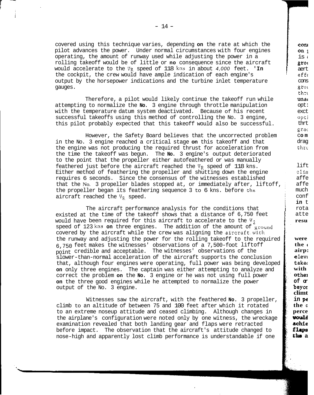covered using this technique varies, depending **on** the rate at which the pilot advances the power. Under normal circumstances with four engines operating, the amount of runway used while adjusting the power in a would accelerate to the **VR** speed of 118 **kns** in about *4,000* feet. **'In**  rolling takeoff would be of little or **no** consequence since the aircraft output by the horsepower indications and the turbine inlet temperature the cockpit, the crew would have ample indication of each engine's gauges.

Therefore, a pilot would likely continue the takeoff run while with the temperature datum system deactivated. Because of his recent attempting to normalize the **No.** 3 engine through throttle manipulation successful takeoffs using this method of controlling the No. 3 engine, this pilot probably expected that this takeoff would also be successful.

in the No. 3 engine reached a critical stage **on** this takeoff and that the engine was not producing the required thrust for acceleration from the time the takeoff was begun. The **No.** 3 engine's output deteriorated to the point that the propeller either autofeathered or was manually feathered just before the aircraft reached the  $V_R$  speed of 118 kns. Either method of feathering the propeller and shutting down the engine requires 6 seconds. Since the consensus of the witnesses established that the No. 3 propeller blades stopped at, or immediately after, liftoff, the propeller began its feathering sequence 3 to 6 kns. before the aircraft reached the  $V_R$  speed. However, the Safety Board believes that the uncorrected problem

The aircraft performance analysis for the conditions that would have been required for this aircraft to accelerate to the  $V_2$ existed at the time of the takeoff shows that a distance of 6,750 feet speed of 123 kns on three engines. The addition of the amount of ground covered by the aircraft while the crew was aligning the aircraft.with the runway and adjusting the power for the rolling takeoff to the required point credible and acceptable. The witnesses' observations of the 6,750 feet makes the witnesses' observations of a 7,500-foot liftoff slower-than-normal acceleration of the aircraft supports the conclusion that, although four engines were operating, full power was being developed **on** only three engines. The captain was either attempting to analyze and correct the problem **on** the **No.** 3 engine or he was not using full power **on** the three good engines while he attempted to normalize the power output of the No. 3 engine.

i i<br>Sidan Kabupatèn Kabupatèn Kabupatèn Kabupatèn Kabupatèn Kabupatèn Kabupatèn Kabupatèn Kabupatèn Kabupatèn Ka **L** 

con1 **on <sup>1</sup>**  $i$ s  $\leftarrow$ **grol**  aert  $eff$ cons grot thru una( opt: exct opt] thrt grac

drag thru

lift clim

affe affe

much conf **in** t

atte rota

**resu** 

**were**  the  $\blacksquare$ **airp:**  eleva

**with takec** 

**o the]** 

**beyor of or** 

**climt in** *PE*  **the <sup>c</sup>** rne c<br>perce<br>**vou1d schie flaps tho a** 

c **om** 

climb to an altitude of between 75 and 100 feet after which it rotated to an extreme noseup attitude and ceased climbing. Although changes in the airplane's configuration were noted only by one witness, the wreckage examination revealed that both landing gear and flaps were retracted before impact. The observation that the aircraft's attitude changed to nose-high and apparently lost climb performance is understandable if one Witnesses saw the aircraft, with the feathered **No.** 3 propeller,

 $-14 -$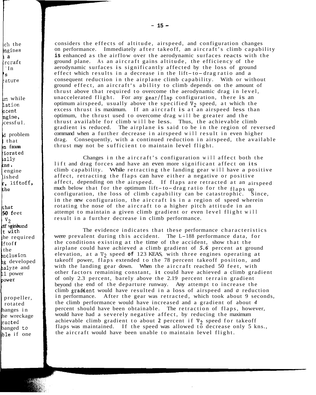.ch the mgines Lrcraf t la ' In *S*  rature

*7* 

un while lation lecent cessf ul. ngine,

d problem 1 that **n** from iiorated  $h$ a $11y$ kns<br>| engine lished<br>r, liftoff, the

/ihat 50 feet | V<sub>2</sub><br>df vgitdwnd<br>|t with he required .f tof **f**  the ,nclusion lg developed halyze and **-1** power p"""<br>|<br>|

propeller, rotated hanges in he wreckage racted banged to lble if one

considers the effects of altitude, airspeed, and configuration changes on performance. Immediately after takeoff, an aircraft's climb capability **is** enhanced as the airflow over the aerodynamic surfaces reacts with the ground plane. As an aircraft gains altitude, the efficiency of the aerodynamic surfaces is significantly affected by the loss of ground effect which results in a decrease in the lift-to- drag ratio and a consequent reduction in the airplane climb capability. With or without ground effect, an aircraft's ability to climb depends on the amount of thrust above that required to overcome the aerodynamic drag in level, unaccelerated flight. For any gear/flap configuration, there is an optimum airspeed, usually above the specified  $\nabla$ <sub>2</sub> speed, at which the excess thrust is maximum. If an aircraft is at an airspeed less than optimum, the thrust used to overcome drag will be greater and the gradient is reduced. The airplane is said to be in the region of reversed thrust available for climb will be less. Thus, the achievable climb drag. Consequently, with a continued reduction in airspeed, the available command when a further decrease in airspeed will result in even higher thrust may not be sufficient to maintain level flight.

Changes in the aircraft's configuration will affect both the lift and drag forces and have an even more significant affect on its climb capability. While retracting the landing gear will have a positive affect, retracting the flaps can have either a negative or positive much below that for the optimum lift-to-drag ratio for the flaps up affect, depending on the airspeed. If flaps are retracted at an airspeed configuration, the loss of climb capability can be catastrophic. Since, in the new configuration, the aircraft is in a region of speed wherein rotating the nose of the aircraft to a higher pitch attitude in an attempt to maintain a given climb gradient or even level flight will result in a further decrease in climb performance.

The evidence indicates that these performance characteristics were prevalent during this accident. The L-188 performance data, for airplane could have achieved a climb gradient of *5.6* percent at ground the conditions existing at the time of the accident, show that the elevation, at a  $\nabla$ <sub>2</sub> speed of 123 KEAS, with three engines operating at takeoff power, flaps extended to the 78 percent takeoff position, and with the landing gear down. When the aircraft reached 50 feet, with other factors remaining constant, it could have achieved a climb gradient beyond the end of the departure runway. Any attempt to increase the of only 2.3 percent, barely above the 2.19 percent terrain gradient climb graddent would have resulted in a loss of airspeed and *a* reduction in performance. After the gear was retracted, which took about 9 seconds, the climb performance would have increased and a gradient of about *4*  percent should have been obtainable. The retraction of flaps, however, would have had a severely negative affect, by reducing the maximum achievable climb gradient to about 2 percent if  $V_2$  speed for takeoff flaps was maintained. If the speed was allowed to decrease only 5 kns., the aircraft would have been unable to maintain level flight.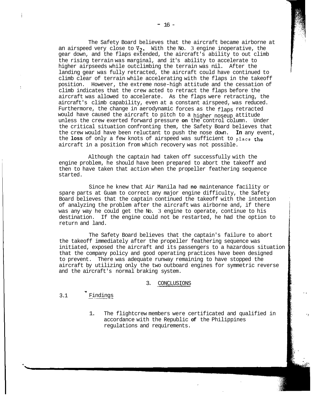an airspeed very close to  $V_2$ . With the No. 3 engine inoperative, the gear down, and the flaps extended, the aircraft's ability to out climb higher airpseeds while outclimbing the terrain was nil. After the the rising terrain was marginal, and it's ability to accelerate to landing gear was fully retracted, the aircraft could have continued to climb clear of terrain while accelerating with the flaps in the takeoff position. However, the extreme nose-high attitude and the cessation of climb indicates that the crew acted to retract the flaps before the aircraft was allowed to accelerate. As the flaps were retracting, the aircraft's climb capability, even at a constant airspeed, was reduced. would have caused the aircraft to pitch to a higher noseup attitude Furthermore, the change in aerodynamic forces as the flaps retracted unless the crew exerted forward pressure **on** the control column. Under the critical situation confronting them, the Safety Board believes that the crew would have been reluctant to push the nose down. **In** any event, the **loss** of only a few knots of airspeed was sufficient to place the aircraft in a position from which recovery was not possible. The Safety Board believes that the aircraft became airborne at

Although the captain had taken off successfully with the engine problem, he should have been prepared to abort the takeoff and then to have taken that action when the propeller feathering sequence started.

spare parts at Guam to correct any major engine difficulty, the Safety Since he knew that Air Manila had **no** maintenance facility or Board believes that the captain continued the takeoff with the intention was any way he could get the No. 3 engine to operate, continue to his of analyzing the problem after the aircraft was airborne and, if there destination. If the engine could not be restarted, he had the option to return and land.

The Safety Board believes that the captain's failure to abort the takeoff immediately after the propeller feathering sequence was initiated, exposed the aircraft and its passengers to a hazardous situation that the company policy and good operating practices have been designed aircraft by utilizing only the two outboard engines for symmetric reverse to prevent. There was adequate runway remaining to have stopped the and the aircraft's normal braking system.

### 3. CONCLUSIONS

### 3.1 *1*  Findings

1. The flightcrew members were certificated and qualified in accordance with the Republic **of** the Philippines regulations and requirements.

.. ~

'?

.. !

ր<br>1966 - Անգլի Արարանի համար։<br>1966 - Մարտանի համար, համար։ **I** -. ,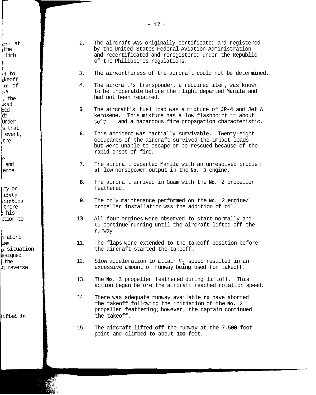lrne at the :limb

**B** 

ra de la componentación de la componentación de la componentación de la componentación de la componentación d<br>Componentación

rd to keoff **.on** of .e , the liced. ed de Under s that the event,

le and ence

.ty or iafety ltention there **I** his ption to

<sup>D</sup>abort was 6 situation esigned c reverse the

lified in

- **2.** The aircraft was originally certificated and registered by the United States Federal Aviation Administration and recertificated and reregistered under the Republic of the Philippines regulations.
- **3.** The airworthiness of the aircraft could not be determined.
- *4.* The aircraft's transponder, a required item, was known had not been repaired. to be inoperable before the flight departed Manila and
- **5.** The aircraft's fuel load was a mixture of **JP-4** and Jet **<sup>A</sup>** kerosene. This mixture has a low flashpoint  $-$  about **30°F** -- and a hazardous fire propagation characteristic.
- **6.** This accident was partially survivable. Twenty-eight occupants of the aircraft survived the impact loads but were unable to escape or be rescued because of the rapid onset of fire.
- **7.** The aircraft departed Manila with an unresolved problem **of** low horsepower output in the **No. 3** engine.
- **8.** The aircraft arrived in Guam with the **No. 2** propeller feathered.
- **9.** The only maintenance performed **on** the **No.** 2 engine/ propeller installation was the addition of oil.
- 10. All four engines were observed to start normally and to continue running until the aircraft lifted off the runway.
- 11. The flaps were extended to the takeoff position before the aircraft started the takeoff.
- 12. Slow acceleration to attain V<sub>2</sub> speed resulted in an excessive amount of runway being used for takeoff.
- **13.** The **No. 3** propeller feathered during liftoff. This action began before the aircraft reached rotation speed.
- 14. There was adequate runway available **to** have aborted the takeoff following the initiation of the **No. 3**  propeller feathering; however, the captain continued the takeoff.
- 15. The aircraft lifted off the runway at the 7,500-foot point and climbed to about **100** feet.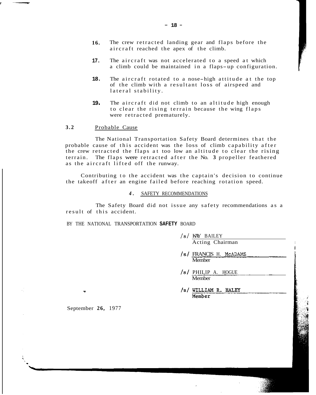- **16.**  The crew retracted landing gear and flaps before the aircraft reached the apex of the climb.
- **17.**  The aircraft was not accelerated to a speed at which a climb could be maintained in a flaps-up configuration.
- **18.**  The aircraft rotated to a nose-high attitude at the top of the climb with a resultant loss of airspeed and lateral stability.
- **19 <sup>a</sup>** The aircraft did not climb to an altitude high enough were retracted prematurely. to clear the rising terrain because the wing flaps

### **3.2** Probable Cause

probable cause of this accident was the loss of climb capability after The National Transportation Safety Board determines that the the crew retracted the flaps at too low an altitude to clear the rising as the aircraft lifted off the runway. terrain. The flaps were retracted after the No. **3** propeller feathered

Contributing to the accident was the captain's decision to continue the takeoff after an engine failed before reaching rotation speed.

*4.* SAFETY RECOMMENDATIONS

result of this accident. The Safety Board did not issue any safety recommendations as a

BY THE NATIONAL TRANSPORTATION **SAFETY** BOARD

| $/s/$ KAY BAILEY |  |
|------------------|--|
| Acting Chairman  |  |
|                  |  |

1

- */SI* FRANCIS H. McADAMS **Member**
- *is/* PHILIP A. HOGUE Member
- /s/ WILLIAM R. HALEY Member

September **26,** 1977

**T**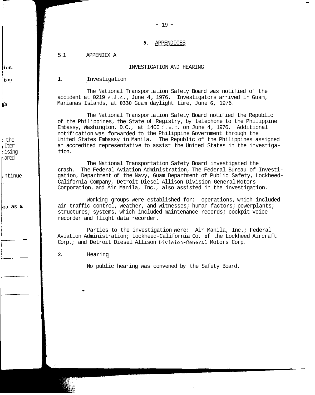### *5.* APPENDICES

 $- 19 -$ 

5.1 APPENDIX A

### INVESTIGATION AND HEARING

### *1.* Investigation

The National Transportation Safety Board was notified of the Marianas Islands, at **0330** Guam daylight time, June **6,** 1976. accident at 0219 e.d.t., June 4, 1976. Investigators arrived in Guam,

The National Transportation Safety Board notified the Republic of the Philippines, the State of Registry, by telephone to the Philippine notification was forwarded to the Philippine Government through the Embassy, Washington, D.C., at 1400 G.m.t. on June 4, 1976. Additional United States Embassy in Manila. The Republic of the Philippines assigned an accredited representative to assist the United States in the investigation.

The National Transportation Safety Board investigated the crash. The Federal Aviation Administration, The Federal Bureau of Investigation, Department of the Navy, Guam Department of Public Safety, Lockheed-Corporation, and Air Manila, Inc., also assisted in the investigation. California Company, Detroit Diesel Allison Division-General Motors

Working groups were established for: operations, which included air traffic control, weather, and witnesses; human factors; powerplants; structures; systems, which included maintenance records; cockpit voice recorder and flight data recorder.

Parties to the investigation were: Air Manila, Inc.; Federal Aviation Administration; Lockheed-California Co. **of** the Lockheed Aircraft Corp.; and Detroit Diesel Allison Division-General Motors Corp.

**2.** Hearing

No public hearing was convened by the Safety Board.

 $\mathbf{ion}$ .

top

gh

the Iter ising ared

ntinue

**LS** as a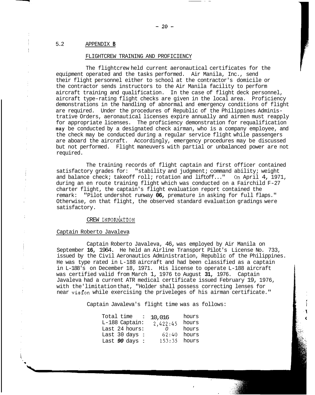### 5.2 APPENDIX **B**

### FLIGHTCREW TRAINING AND PROFICIENCY

equipment operated and the tasks performed. Air Manila, Inc., send The flightcrew held current aeronautical certificates for the their flight personnel either to school at the contractor's domicile or aircraft training and qualification. In the case of flight deck personnel, the contractor sends instructors to the Air Manila facility to perform demonstrations in the handling of abnormal and emergency conditions of flight aircraft type-rating flight checks are given in the local area. Proficiency are required. Under the procedures of Republic of the Philippines Administrative Orders, aeronautical licenses expire annually and airmen must reapply for appropriate licenses. The proficiency demonstration for requalification **may** be conducted by a designated check airman, who is a company employee, and are aboard the aircraft. Accordingly, emergency procedures may be discussed the check may be conducted during a regular service flight while passengers but not performed. Flight maneuvers with partial or unbalanced power are not required.

The training records of flight captain and first officer contained satisfactory grades for: "stability and judgment; command ability; weight<br>and balance check; takeoff roll; rotation and liftoff..." On April 4, 1971, during an en route training flight which was conducted on a Fairchild F-27 and balance check; takeoff roll; rotation and liftoff..." charter flight, the captain's flight evaluation report contained the remark: "Pilot undershot runway **06,** premature in asking for full flaps." Otherwise, on that flight, the observed standard evaluation gradings were satisfactory.

### CREW INFORMATION

### Captain Roberto Javaleva

September **16,** 1964. He held an Airline Transport Pilot's License No. 733, issued by the Civil Aeronautics Administration, Republic of the Philippines. He was type rated in L-188 aircraft and had been classified as a captain in L-188's on December 18, 1971. His license to operate L-188 aircraft was certified valid from March 1, 1976 to August **31,** 1976. Captain Javaleva had a current ATR medical certificate issued February 19, 1976, with the'limitation that, "Holder shall possess correcting lenses for near visfon while exercising the priveleges of his airman certificate." Captain Roberto Javaleva, 46, was employed by Air Manila on

Captain Javaleva's flight time was as follows: **<sup>I</sup>**

|        | hours              |
|--------|--------------------|
|        | hours              |
|        | hours              |
| 62:40  | hours              |
| 153:35 | hours              |
|        | 10,016<br>2,422:45 |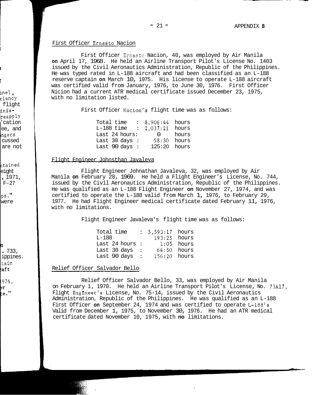### First Officer Ernesto Nacion

**on** April 17, 1968. He held an Airline Transport Pilot's License No. 1403 issued by the Civil Aeronautics Administration, Republic of the Philippines. He was typed rated in L-188 aircraft and had been classified as an L-188 was certified valid from January, 1976, to June 30, 1976. First Officer reserve captain **on** March 10, 1975. His license to operate L-188 aircraft Nicion had a current ATR medical certificate issued December 23, 1975, with no limitation listed. First Officer Ernesto Nacion, 40, was employed by Air Manila

First Officer Nacion's flight time was as follows:

| Total time<br>$L-188$ time<br>Last 24 hours:<br>Last 30 days : | $8,906:44$ hours<br>: $2,037:21$ hours<br>$\Omega$ | hours<br>58;30 hours |
|----------------------------------------------------------------|----------------------------------------------------|----------------------|
| Last 90 days :                                                 | $125:20$ hours                                     |                      |

### Flight Engineer Johnsthan Javaleva

Flight Engineer Johnathan Javaleva, 32, was employed by Air Manila **on** February 28, 1969. He held a Flight Engineer's License, No. 744, He was qualified as an L-188 Flight Engineer **on** November 27, 1974, and was issued by the Civil Aeronautics Administration, Republic of the Philippines. certified to operate the L-188 valid from March 1, 1976, to February 29, with no limitations. 1977. He had Flight Engineer medical certificate dated February 11, 1976,

Flight Engineer Javaleva's flight time was as follows:

| $L - 188$ | Total time    |      | : 5,593:17 hours<br>193:25 | hours |
|-----------|---------------|------|----------------------------|-------|
|           | Last 24 hours | - 11 | 1:05.                      | hours |
|           | Last 30 days  | ÷    | 64.50                      | hours |
|           | Last 90 days  |      | 156:20 hours               |       |

### Relief Officer Salvador Bello

on February 1, 1970. He held an Airline Transport Pilot's License, No. 73A17, Flight Engineer's License, No. 75-14, issued by the Civil Aeronautics Administration, Republic of the Philippines. He was qualified as an L-188 First Officer **on** September 24, 1974 and was certified to operate L-188's Valid from December 1, 1975, to November 30, 1976. He had an ATR medical certificate dated November 10, 1975, with **no** limitations. Relief Officer Salvador Bello, 33, was employed by Air Manila

-

## **F**

**L** 

I I

<sub>nnel,</sub><br><sub>ciency</sub> flight tnisireapply 'cation ee, and [ngers cussed are not

ltained eight , 1971,  $F-27$ 

PS. **,I**  were

```
n 
. 733,
```
ippines. ltain .aft

.976, br .<br>..."

L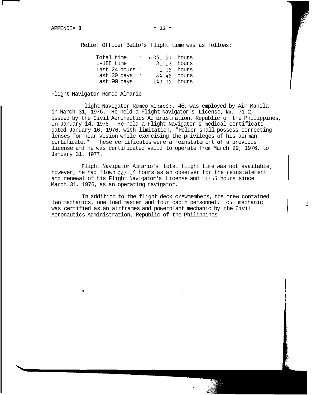Relief Officer Bello's flight time was as follows:

| Total time<br>$L-188$ time |                 | $: 6,051:50$ hours | $81:18$ hours |
|----------------------------|-----------------|--------------------|---------------|
| Last 24 hours              | $\sim$ 10 $\pm$ |                    | $1:05$ hours  |
| Last 30 days               | ÷               |                    | $64:45$ hours |
| Last 90 days               | $\sim$          | $148:05$ hours     |               |

### Flight Navigator Romeo Almario

in March 31, 1976. He held a Flight Navigator's License, **No.** 71-2, issued by the Civil Aeronautics Administration, Republic of the Philippines, on January 14, 1976. He held a Flight Navigator's medical certificate dated January 16, 1976, with limitation, "Holder shall possess correcting lenses for near vision while exercising the privileges of his airman certificate." These certificates were a reinstatement **of** a previous January 31, 1977. license and he was certificated valid to operate from March 29, 1976, to Flight Navigator Romeo Almario, 46, was employed by Air Manila

however, he had flown 227:15 hours as an observer for the reinstatement and renewal of his Flight Navigator's License and 21:55 hours since March 31, 1976, as an operating navigator. Flight Navigator Almario's total flight time was not available;

I

 $\overline{1}$ 

In addition to the flight deck crewmembers, the crew contained two mechanics, one load master and four cabin personnel. One mechanic was certified as an airframes and powerplant mechanic by the Civil Aeronautics Administration, Republic of the Philippines.